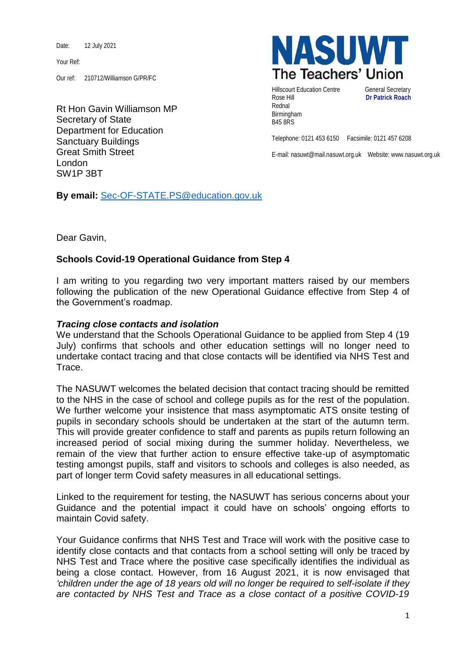Date: 12 July 2021

Your Ref:

Our ref: 210712/Williamson G/PR/FC

Rt Hon Gavin Williamson MP Secretary of State Department for Education Sanctuary Buildings Great Smith Street London SW1P 3BT



Hillscourt Education Centre **General Secretary** Rose Hill **Dr Patrick Roach** Rednal Birmingham B45 8RS

Telephone: 0121 453 6150 Facsimile: 0121 457 6208

E-mail: nasuwt@mail.nasuwt.org.uk Website: www.nasuwt.org.uk

**By email:** [Sec-OF-STATE.PS@education.gov.uk](mailto:Sec-OF-STATE.PS@education.gov.uk)

Dear Gavin,

## **Schools Covid-19 Operational Guidance from Step 4**

I am writing to you regarding two very important matters raised by our members following the publication of the new Operational Guidance effective from Step 4 of the Government's roadmap.

## *Tracing close contacts and isolation*

We understand that the Schools Operational Guidance to be applied from Step 4 (19 July) confirms that schools and other education settings will no longer need to undertake contact tracing and that close contacts will be identified via NHS Test and Trace.

The NASUWT welcomes the belated decision that contact tracing should be remitted to the NHS in the case of school and college pupils as for the rest of the population. We further welcome your insistence that mass asymptomatic ATS onsite testing of pupils in secondary schools should be undertaken at the start of the autumn term. This will provide greater confidence to staff and parents as pupils return following an increased period of social mixing during the summer holiday. Nevertheless, we remain of the view that further action to ensure effective take-up of asymptomatic testing amongst pupils, staff and visitors to schools and colleges is also needed, as part of longer term Covid safety measures in all educational settings.

Linked to the requirement for testing, the NASUWT has serious concerns about your Guidance and the potential impact it could have on schools' ongoing efforts to maintain Covid safety.

Your Guidance confirms that NHS Test and Trace will work with the positive case to identify close contacts and that contacts from a school setting will only be traced by NHS Test and Trace where the positive case specifically identifies the individual as being a close contact. However, from 16 August 2021, it is now envisaged that *'children under the age of 18 years old will no longer be required to self-isolate if they are contacted by NHS Test and Trace as a close contact of a positive COVID-19*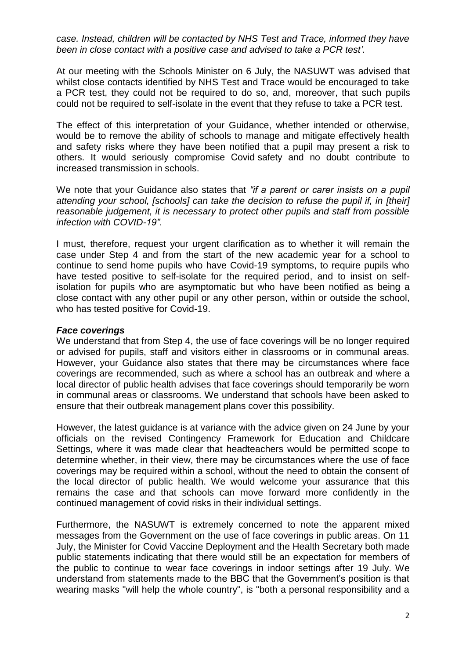*case. Instead, children will be contacted by NHS Test and Trace, informed they have been in close contact with a positive case and advised to take a PCR test'.*

At our meeting with the Schools Minister on 6 July, the NASUWT was advised that whilst close contacts identified by NHS Test and Trace would be encouraged to take a PCR test, they could not be required to do so, and, moreover, that such pupils could not be required to self-isolate in the event that they refuse to take a PCR test.

The effect of this interpretation of your Guidance, whether intended or otherwise, would be to remove the ability of schools to manage and mitigate effectively health and safety risks where they have been notified that a pupil may present a risk to others. It would seriously compromise Covid safety and no doubt contribute to increased transmission in schools.

We note that your Guidance also states that *"if a parent or carer insists on a pupil attending your school, [schools] can take the decision to refuse the pupil if, in [their] reasonable judgement, it is necessary to protect other pupils and staff from possible infection with COVID-19".*

I must, therefore, request your urgent clarification as to whether it will remain the case under Step 4 and from the start of the new academic year for a school to continue to send home pupils who have Covid-19 symptoms, to require pupils who have tested positive to self-isolate for the required period, and to insist on selfisolation for pupils who are asymptomatic but who have been notified as being a close contact with any other pupil or any other person, within or outside the school, who has tested positive for Covid-19.

## *Face coverings*

We understand that from Step 4, the use of face coverings will be no longer required or advised for pupils, staff and visitors either in classrooms or in communal areas. However, your Guidance also states that there may be circumstances where face coverings are recommended, such as where a school has an outbreak and where a local director of public health advises that face coverings should temporarily be worn in communal areas or classrooms. We understand that schools have been asked to ensure that their outbreak management plans cover this possibility.

However, the latest guidance is at variance with the advice given on 24 June by your officials on the revised Contingency Framework for Education and Childcare Settings, where it was made clear that headteachers would be permitted scope to determine whether, in their view, there may be circumstances where the use of face coverings may be required within a school, without the need to obtain the consent of the local director of public health. We would welcome your assurance that this remains the case and that schools can move forward more confidently in the continued management of covid risks in their individual settings.

Furthermore, the NASUWT is extremely concerned to note the apparent mixed messages from the Government on the use of face coverings in public areas. On 11 July, the Minister for Covid Vaccine Deployment and the Health Secretary both made public statements indicating that there would still be an expectation for members of the public to continue to wear face coverings in indoor settings after 19 July. We understand from statements made to the BBC that the Government's position is that wearing masks "will help the whole country", is "both a personal responsibility and a